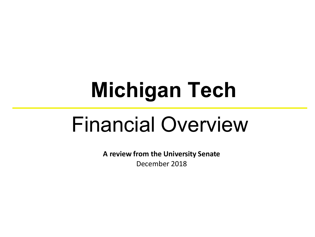# **Michigan Tech**

# Financial Overview

**A review from the University Senate** December 2018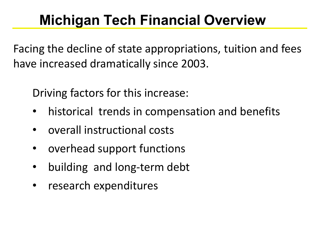# **Michigan Tech Financial Overview**

Facing the decline of state appropriations, tuition and fees have increased dramatically since 2003.

Driving factors for this increase:

- historical trends in compensation and benefits
- overall instructional costs
- overhead support functions
- building and long-term debt
- research expenditures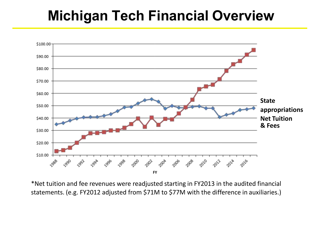# **Michigan Tech Financial Overview**



\*Net tuition and fee revenues were readjusted starting in FY2013 in the audited financial statements. (e.g. FY2012 adjusted from \$71M to \$77M with the difference in auxiliaries.)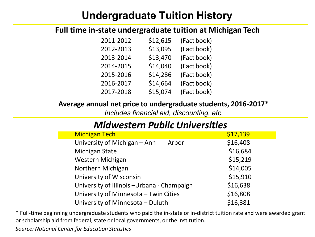### **Undergraduate Tuition History**

#### **Full time in-state undergraduate tuition at Michigan Tech**

| \$12,615 | (Fact book) |
|----------|-------------|
| \$13,095 | (Fact book) |
| \$13,470 | (Fact book) |
| \$14,040 | (Fact book) |
| \$14,286 | (Fact book) |
| \$14,664 | (Fact book) |
| \$15,074 | (Fact book) |
|          |             |

#### **Average annual net price to undergraduate students, 2016-2017\***

*Includes financial aid, discounting, etc.*

#### *Midwestern Public Universities*

| <b>Michigan Tech</b>                        | \$17,139 |
|---------------------------------------------|----------|
| University of Michigan - Ann<br>Arbor       | \$16,408 |
| <b>Michigan State</b>                       | \$16,684 |
| Western Michigan                            | \$15,219 |
| Northern Michigan                           | \$14,005 |
| University of Wisconsin                     | \$15,910 |
| University of Illinois - Urbana - Champaign | \$16,638 |
| University of Minnesota - Twin Cities       | \$16,808 |
| University of Minnesota - Duluth            | \$16,381 |
|                                             |          |

\* Full-time beginning undergraduate students who paid the in-state or in-district tuition rate and were awarded grant or scholarship aid from federal, state or local governments, or the institution.

*Source: National Center for Education Statistics*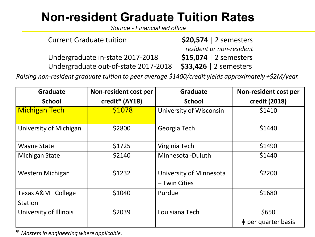# **Non-resident Graduate Tuition Rates**

*Source - Financial aid office*

| <b>Current Graduate tuition</b>      | $$20,574$   2 semesters  |
|--------------------------------------|--------------------------|
|                                      | resident or non-resident |
| Undergraduate in-state 2017-2018     | $$15,074$   2 semesters  |
| Undergraduate out-of-state 2017-2018 | \$33,426   2 semesters   |

*Raising non-resident graduate tuition to peer average \$1400/credit yields approximately +\$2M/year.*

| <b>Graduate</b>                | Non-resident cost per | <b>Graduate</b>                          | Non-resident cost per        |
|--------------------------------|-----------------------|------------------------------------------|------------------------------|
| <b>School</b>                  | credit* (AY18)        | <b>School</b>                            | credit (2018)                |
| <b>Michigan Tech</b>           | \$1078                | University of Wisconsin                  | \$1410                       |
| University of Michigan         | \$2800                | Georgia Tech                             | \$1440                       |
| <b>Wayne State</b>             | \$1725                | Virginia Tech                            | \$1490                       |
| <b>Michigan State</b>          | \$2140                | Minnesota - Duluth                       | \$1440                       |
| Western Michigan               | \$1232                | University of Minnesota<br>– Twin Cities | \$2200                       |
| Texas A&M - College<br>Station | \$1040                | Purdue                                   | \$1680                       |
| University of Illinois         | \$2039                | Louisiana Tech                           | \$650                        |
|                                |                       |                                          | $\ddagger$ per quarter basis |

\* *Masters in engineering whereapplicable.*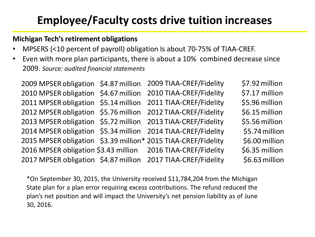# **Employee/Faculty costs drive tuition increases**

#### **Michigan Tech's retirement obligations**

- MPSERS (<10 percent of payroll) obligation Is about 70-75% of TIAA-CREF.
- Even with more plan participants, there is about a 10% combined decrease since 2009. *Source: audited financial statements*

|                                      | 2009 MPSER obligation \$4.87 million 2009 TIAA-CREF/Fidelity  | \$7.92 million |
|--------------------------------------|---------------------------------------------------------------|----------------|
| 2010 MPSER obligation \$4.67 million | 2010 TIAA-CREF/Fidelity                                       | \$7.17 million |
|                                      | 2011 MPSER obligation \$5.14 million 2011 TIAA-CREF/Fidelity  | \$5.96 million |
|                                      | 2012 MPSER obligation \$5.76 million 2012 TIAA-CREF/Fidelity  | \$6.15 million |
|                                      | 2013 MPSER obligation \$5.72 million 2013 TIAA-CREF/Fidelity  | \$5.56 million |
|                                      | 2014 MPSER obligation \$5.34 million 2014 TIAA-CREF/Fidelity  | \$5.74 million |
|                                      | 2015 MPSER obligation \$3.39 million* 2015 TIAA-CREF/Fidelity | \$6.00 million |
|                                      | 2016 MPSER obligation \$3.43 million 2016 TIAA-CREF/Fidelity  | \$6.35 million |
|                                      | 2017 MPSER obligation \$4.87 million 2017 TIAA-CREF/Fidelity  | \$6.63 million |

\*On September 30, 2015, the University received \$11,784,204 from the Michigan State plan for a plan error requiring excess contributions. The refund reduced the plan's net position and will impact the University's net pension liability as of June 30, 2016.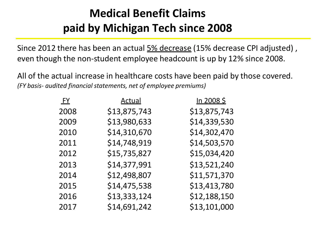# **Medical Benefit Claims paid by Michigan Tech since 2008**

Since 2012 there has been an actual  $5\%$  decrease (15% decrease CPI adjusted), even though the non-student employee headcount is up by 12% since 2008.

All of the actual increase in healthcare costs have been paid by those covered. *(FY basis- audited financial statements, net of employee premiums)*

| <b>FY</b> | <u>Actual</u> | <u>In 2008 \$</u> |
|-----------|---------------|-------------------|
| 2008      | \$13,875,743  | \$13,875,743      |
| 2009      | \$13,980,633  | \$14,339,530      |
| 2010      | \$14,310,670  | \$14,302,470      |
| 2011      | \$14,748,919  | \$14,503,570      |
| 2012      | \$15,735,827  | \$15,034,420      |
| 2013      | \$14,377,991  | \$13,521,240      |
| 2014      | \$12,498,807  | \$11,571,370      |
| 2015      | \$14,475,538  | \$13,413,780      |
| 2016      | \$13,333,124  | \$12,188,150      |
| 2017      | \$14,691,242  | \$13,101,000      |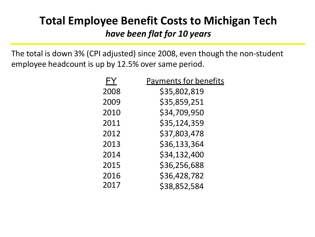# **Total Employee Benefit Costs to Michigan Tech**  *have been flat for 10 years*

The total is down 3% (CPI adjusted) since 2008, even though the non-student employee headcount is up by 12.5% over same period.

| FY   | <b>Payments for benefits</b> |
|------|------------------------------|
| 2008 | \$35,802,819                 |
| 2009 | \$35,859,251                 |
| 2010 | \$34,709,950                 |
| 2011 | \$35,124,359                 |
| 2012 | \$37,803,478                 |
| 2013 | \$36,133,364                 |
| 2014 | \$34,132,400                 |
| 2015 | \$36,256,688                 |
| 2016 | \$36,428,782                 |
| 2017 | \$38,852,584                 |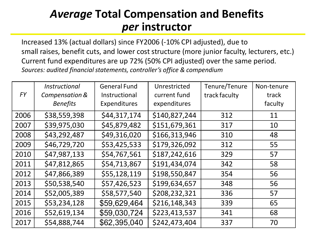### *Average* **Total Compensation and Benefits**  *per* **instructor**

Increased 13% (actual dollars) since FY2006 (-10% CPI adjusted), due to small raises, benefit cuts, and lower cost structure (more junior faculty, lecturers, etc.) Current fund expenditures are up 72% (50% CPI adjusted) over the same period. *Sources: audited financial statements, controller's office & compendium*

|           | <b>Instructional</b> | <b>General Fund</b> | Unrestricted  | Tenure/Tenure | Non-tenure |
|-----------|----------------------|---------------------|---------------|---------------|------------|
| <b>FY</b> | Compensation &       | Instructional       | current fund  | track faculty | track      |
|           | <b>Benefits</b>      | Expenditures        | expenditures  |               | faculty    |
| 2006      | \$38,559,398         | \$44,317,174        | \$140,827,244 | 312           | 11         |
| 2007      | \$39,975,030         | \$45,879,482        | \$151,679,361 | 317           | 10         |
| 2008      | \$43,292,487         | \$49,316,020        | \$166,313,946 | 310           | 48         |
| 2009      | \$46,729,720         | \$53,425,533        | \$179,326,092 | 312           | 55         |
| 2010      | \$47,987,133         | \$54,767,561        | \$187,242,616 | 329           | 57         |
| 2011      | \$47,812,865         | \$54,713,867        | \$191,434,074 | 342           | 58         |
| 2012      | \$47,866,389         | \$55,128,119        | \$198,550,847 | 354           | 56         |
| 2013      | \$50,538,540         | \$57,426,523        | \$199,634,657 | 348           | 56         |
| 2014      | \$52,005,389         | \$58,577,540        | \$208,232,321 | 336           | 57         |
| 2015      | \$53,234,128         | \$59,629,464        | \$216,148,343 | 339           | 65         |
| 2016      | \$52,619,134         | \$59,030,724        | \$223,413,537 | 341           | 68         |
| 2017      | \$54,888,744         | \$62,395,040        | \$242,473,404 | 337           | 70         |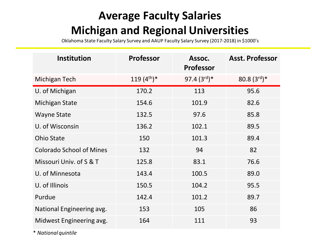# **Average Faculty Salaries Michigan and Regional Universities**

Oklahoma State Faculty Salary Survey and AAUP Faculty Salary Survey (2017-2018) in \$1000's

| <b>Institution</b>              | <b>Professor</b> | Assoc.<br><b>Professor</b> | <b>Asst. Professor</b> |
|---------------------------------|------------------|----------------------------|------------------------|
| Michigan Tech                   | 119 $(4^{th})$ * | 97.4 $(3^{rd})^*$          | 80.8 $(3^{rd})^*$      |
| U. of Michigan                  | 170.2            | 113                        | 95.6                   |
| <b>Michigan State</b>           | 154.6            | 101.9                      | 82.6                   |
| <b>Wayne State</b>              | 132.5            | 97.6                       | 85.8                   |
| U. of Wisconsin                 | 136.2            | 102.1                      | 89.5                   |
| <b>Ohio State</b>               | 150              | 101.3                      | 89.4                   |
| <b>Colorado School of Mines</b> | 132              | 94                         | 82                     |
| Missouri Univ. of S & T         | 125.8            | 83.1                       | 76.6                   |
| U. of Minnesota                 | 143.4            | 100.5                      | 89.0                   |
| U. of Illinois                  | 150.5            | 104.2                      | 95.5                   |
| Purdue                          | 142.4            | 101.2                      | 89.7                   |
| National Engineering avg.       | 153              | 105                        | 86                     |
| Midwest Engineering avg.        | 164              | 111                        | 93                     |

\* *National quintile*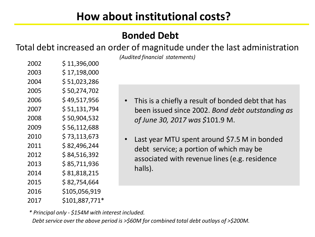#### **Bonded Debt**

Total debt increased an order of magnitude under the last administration

*(Audited financial statements)*

| 2002 | \$11,396,000   |
|------|----------------|
| 2003 | \$17,198,000   |
| 2004 | \$ 51,023,286  |
| 2005 | \$50,274,702   |
| 2006 | \$ 49,517,956  |
| 2007 | \$51,131,794   |
| 2008 | \$50,904,532   |
| 2009 | \$56,112,688   |
| 2010 | \$73,113,673   |
| 2011 | \$82,496,244   |
| 2012 | \$ 84,516,392  |
| 2013 | \$85,711,936   |
| 2014 | \$81,818,215   |
| 2015 | \$82,754,664   |
| 2016 | \$105,056,919  |
| 2017 | \$101,887,771* |

- This is a chiefly a result of bonded debt that has been issued since 2002. *Bond debt outstanding as of June 30, 2017 was \$*101.9 M.
- Last year MTU spent around \$7.5 M in bonded debt service; a portion of which may be associated with revenue lines (e.g. residence halls).

*\* Principal only - \$154M with interest included.* 

*Debt service over the above period is >\$60M for combined total debt outlays of >\$200M.*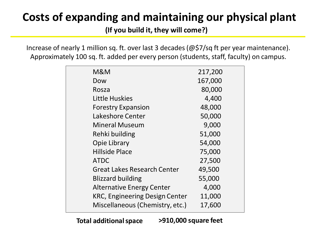# **Costs of expanding and maintaining our physical plant**

**(If you build it, they will come?)**

Increase of nearly 1 million sq. ft. over last 3 decades (@\$7/sq ft per year maintenance). Approximately 100 sq. ft. added per every person (students, staff, faculty) on campus.

| M&M                                   | 217,200 |
|---------------------------------------|---------|
| Dow                                   | 167,000 |
| Rosza                                 | 80,000  |
| Little Huskies                        | 4,400   |
| <b>Forestry Expansion</b>             | 48,000  |
| Lakeshore Center                      | 50,000  |
| <b>Mineral Museum</b>                 | 9,000   |
| Rehki building                        | 51,000  |
| <b>Opie Library</b>                   | 54,000  |
| <b>Hillside Place</b>                 | 75,000  |
| <b>ATDC</b>                           | 27,500  |
| <b>Great Lakes Research Center</b>    | 49,500  |
| <b>Blizzard building</b>              | 55,000  |
| <b>Alternative Energy Center</b>      | 4,000   |
| <b>KRC, Engineering Design Center</b> | 11,000  |
| Miscellaneous (Chemistry, etc.)       | 17,600  |
|                                       |         |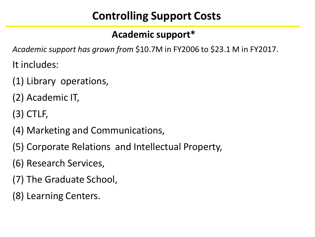# **Controlling Support Costs**

### **Academic support\***

*Academic support has grown from* \$10.7M in FY2006 to \$23.1 M in FY2017.

It includes:

- (1) Library operations,
- (2) Academic IT,
- (3) CTLF,
- (4) Marketing and Communications,
- (5) Corporate Relations and Intellectual Property,
- (6) Research Services,
- (7) The Graduate School,
- (8) Learning Centers.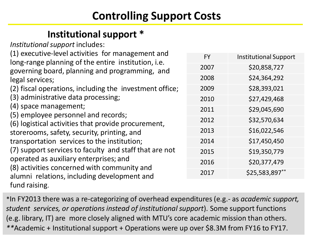# **Controlling Support Costs**

#### **Institutional support \***

*Institutional support* includes:

(1) executive-level activities for management and long-range planning of the entire institution, i.e. governing board, planning and programming, and legal services;

(2) fiscal operations, including the investment office;

- (3) administrative data processing;
- (4) space management;
- (5) employee personnel and records;

(6) logistical activities that provide procurement, storerooms, safety, security, printing, and transportation services to the institution; (7) support services to faculty and staff that are not operated as auxiliary enterprises; and (8) activities concerned with community and alumni relations, including development and fund raising.

| <b>FY</b> | <b>Institutional Support</b> |
|-----------|------------------------------|
| 2007      | \$20,858,727                 |
| 2008      | \$24,364,292                 |
| 2009      | \$28,393,021                 |
| 2010      | \$27,429,468                 |
| 2011      | \$29,045,690                 |
| 2012      | \$32,570,634                 |
| 2013      | \$16,022,546                 |
| 2014      | \$17,450,450                 |
| 2015      | \$19,350,779                 |
| 2016      | \$20,377,479                 |
| 2017      | \$25,583,897**               |

\*In FY2013 there was a re-categorizing of overhead expenditures (e.g.- as *academic support, student services, or operations instead of institutional support*). Some support functions (e.g. library, IT) are more closely aligned with MTU's core academic mission than others. *\*\**Academic + Institutional support + Operations were up over \$8.3M from FY16 to FY17.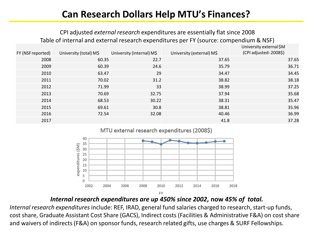#### **Can Research Dollars Help MTU's Finances?**

#### CPI adjusted *external research* expenditures are essentially flat since 2008 Table of internal and external research expenditures per FY (source: compendium & NSF)

| FY (NSF reported) | University (total) M\$ | University (internal) M\$ | University (external) M\$ | University external \$M<br>(CPI adjusted-2008\$) |
|-------------------|------------------------|---------------------------|---------------------------|--------------------------------------------------|
| 2008              | 60.35                  | 22.7                      | 37.65                     | 37.65                                            |
| 2009              | 60.39                  | 24.6                      | 35.79                     | 36.71                                            |
| 2010              | 63.47                  | 29                        | 34.47                     | 34.45                                            |
| 2011              | 70.02                  | 31.2                      | 38.82                     | 38.18                                            |
| 2012              | 71.99                  | 33                        | 38.99                     | 37.25                                            |
| 2013              | 70.69                  | 32.75                     | 37.94                     | 35.68                                            |
| 2014              | 68.53                  | 30.22                     | 38.31                     | 35.47                                            |
| 2015              | 69.61                  | 30.8                      | 38.81                     | 35.96                                            |
| 2016              | 72.54                  | 32.08                     | 40.46                     | 36.99                                            |
| 2017              |                        |                           | 41.8                      | 37.28                                            |
|                   |                        |                           |                           |                                                  |

MTU external research expenditures (2008\$)



#### *Internal research expenditures are up 450% since 2002***, now** *45% of total.*

*Internal research expenditures* include: REF, IRAD, general fund salaries charged to research, start-up funds, cost share, Graduate Assistant Cost Share (GACS), Indirect costs (Facilities & Administrative F&A) on cost share and waivers of indirects (F&A) on sponsor funds, research related gifts, use charges & SURF Fellowships.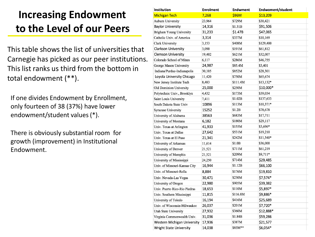## **Increasing Endowment to the Level of our Peers**

This table shows the list of universities that Carnegie has picked as our peer institutions. This list ranks us third from the bottom in total endowment (\*\*).

If one divides Endowment by Enrollment, only fourteen of 38 (37%) have lower endowment/student values(\*).

There is obviously substantial room for growth (improvement) in Institutional Endowment.

| Institution                    | <b>Enrolment</b> | Endwment     | Endwoment/student |  |
|--------------------------------|------------------|--------------|-------------------|--|
| <b>Michigan Tech</b>           | 7,268            | <b>\$96M</b> | \$13,209          |  |
| <b>Auburn University</b>       | 23,964           | \$729M       | \$30,421          |  |
| <b>Baylor University</b>       | 14,316           | \$1.31B      | \$91,506          |  |
| Brigham Young University       | 31,233           | \$1.47B      | \$47,065          |  |
| Catholic Univ. of America      | 3,314            | \$337M       | \$10,169          |  |
| <b>Clark University</b>        | 3,153            | \$408M       | \$129,400         |  |
| <b>Clarkson University</b>     | 3,090            | \$191M       | \$61,812          |  |
| <b>Clemson University</b>      | 19,402           | \$621M       | \$32,007          |  |
| Colorado School of Mines       | 6,117            | \$286M       | \$46,755          |  |
| George Mason University        | 24,987           | \$85.4M      | \$3,401           |  |
| Indiana/Purdue-Indianapolis    | 30,105           | \$852M       | \$28,301          |  |
| Loyola University Chicago      | 11,420           | \$750M       | \$65,674          |  |
| New Jersey Institute Tech      | 8,483            | \$111.4M     | $$13,132*$        |  |
| Old Dominion University        | 25,000           | \$250M       | \$10,000*         |  |
| Polytechnic Univ., Brooklyn    | 4,432            | \$173M       | \$39,034          |  |
| Saint Louis University         | 7,411            | \$1.02B      | \$137,633         |  |
| South Dakota State Univ        | 10896            | \$113M       | $$10,371*$        |  |
| <b>Syracuse University</b>     | 15252            | \$1.2B       | \$78,678          |  |
| University of Alabama          | 38563            | \$683M       | \$17,711          |  |
| University of Montana          | 6,182            | \$180M       | \$29,117          |  |
| Univ. Texas at Arlington       | 41,933           | \$155M       | \$3,696*          |  |
| Univ. Texas at Dallas          | 27,642           | \$531M       | \$19,210          |  |
| Univ. Texas at El Paso         | 21,341           | \$242M       | \$11,340*         |  |
| University of Arkansas         | 11,614           | \$1.0B       | \$36,000          |  |
| University of Denver           | 21,521           | \$711M       | \$61,219          |  |
| University of Memphis          | 21,521           | \$209M       | \$9,711*          |  |
| University of Mississippi      | 24,250           | \$714M       | \$29,485          |  |
| Univ. of Missouri-Kansas City  | 16,944           | \$1.12B      | \$66,100          |  |
| Univ. of Missouri-Rolla        | 8,884            | \$176M       | \$19,810          |  |
| Univ. Nevada-Las Vegas         | 30,471           | \$230M       | \$7,574*          |  |
| University of Oregon           | 22,980           | \$905M       | \$39,382          |  |
| Univ. Puerto Rico-Rio Piedras  | 18,653           | \$110M       | \$5,897*          |  |
| Univ. Southern Mississippi     | 11,815           | \$116.8M     | \$9,886*          |  |
| University of Toledo           | 16,194           | \$416M       | \$25,689          |  |
| Univ. of Wisconsin-Milwaukee   | 26,037           | \$201M       | \$7,720*          |  |
| Utah State University          | 27,932           | \$360M       | \$12,888*         |  |
| Virginia Commonwealth Univ.    | 31,036           | \$1.84B      | \$59,286          |  |
| Western Michigan University    | 17,936           | \$387M       | \$21,577          |  |
| <b>Wright State University</b> | 14,038           | \$85M**      | \$6,054*          |  |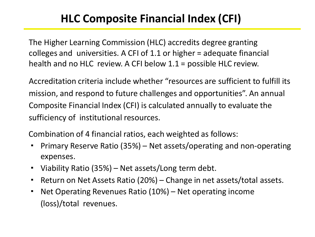# **HLC Composite Financial Index (CFI)**

The Higher Learning Commission (HLC) accredits degree granting colleges and universities. A CFI of 1.1 or higher = adequate financial health and no HLC review. A CFI below 1.1 = possible HLC review.

Accreditation criteria include whether "resources are sufficient to fulfill its mission, and respond to future challenges and opportunities". An annual Composite Financial Index (CFI) is calculated annually to evaluate the sufficiency of institutional resources.

Combination of 4 financial ratios, each weighted as follows:

- · Primary Reserve Ratio (35%) Net assets/operating and non-operating expenses.
- · Viability Ratio (35%) Net assets/Long term debt.
- · Return on Net Assets Ratio (20%) Change in net assets/total assets.
- · Net Operating Revenues Ratio (10%) Net operating income (loss)/total revenues.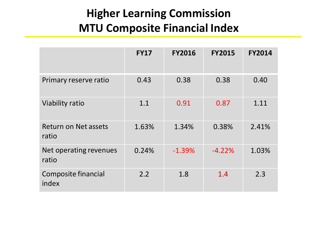# **Higher Learning Commission MTU Composite Financial Index**

|                                      | <b>FY17</b> | <b>FY2016</b> | <b>FY2015</b> | <b>FY2014</b> |
|--------------------------------------|-------------|---------------|---------------|---------------|
| Primary reserve ratio                | 0.43        | 0.38          | 0.38          | 0.40          |
| Viability ratio                      | 1.1         | 0.91          | 0.87          | 1.11          |
| <b>Return on Net assets</b><br>ratio | 1.63%       | 1.34%         | 0.38%         | 2.41%         |
| Net operating revenues<br>ratio      | 0.24%       | $-1.39%$      | $-4.22%$      | 1.03%         |
| Composite financial<br>index         | 2.2         | 1.8           | 1.4           | 2.3           |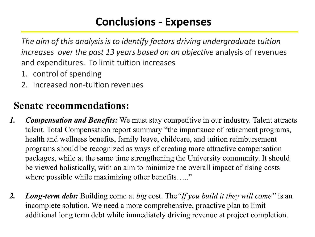# **Conclusions - Expenses**

*The aim of this analysis is to identify factors driving undergraduate tuition increases over the past 13 years based on an objective analysis of revenues* and expenditures. To limit tuition increases

- 1. control of spending
- 2. increased non-tuition revenues

## **Senate recommendations:**

- *1. Compensation and Benefits:* We must stay competitive in our industry. Talent attracts talent. Total Compensation report summary "the importance of retirement programs, health and wellness benefits, family leave, childcare, and tuition reimbursement programs should be recognized as ways of creating more attractive compensation packages, while at the same time strengthening the University community. It should be viewed holistically, with an aim to minimize the overall impact of rising costs where possible while maximizing other benefits….."
- *2. Long-term debt:* Building come at *big* cost. The*"If you build it they will come"* is an incomplete solution. We need a more comprehensive, proactive plan to limit additional long term debt while immediately driving revenue at project completion.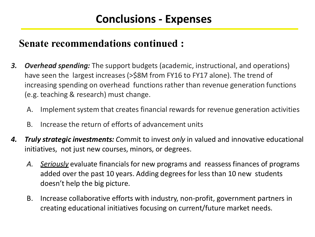#### **Senate recommendations continued :**

- *3. Overhead spending:* The support budgets (academic, instructional, and operations) have seen the largest increases (>\$8M from FY16 to FY17 alone). The trend of increasing spending on overhead functions rather than revenue generation functions (e.g. teaching & research) must change.
	- A. Implement system that creates financial rewards for revenue generation activities
	- B. Increase the return of efforts of advancement units
- **4. Truly strategic investments:** Commit to invest *only* in valued and innovative educational initiatives, not just new courses, minors, or degrees.
	- *A. Seriously* evaluate financials for new programs and reassess finances of programs added over the past 10 years. Adding degrees for less than 10 new students doesn't help the big picture.
	- B. Increase collaborative efforts with industry, non-profit, government partners in creating educational initiatives focusing on current/future market needs.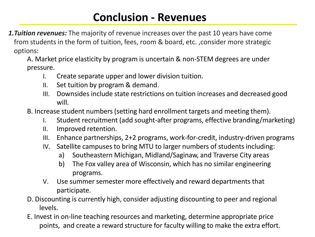### **Conclusion - Revenues**

*1.Tuition revenues:* The majority of revenue increases over the past 10 years have come from students in the form of tuition, fees, room & board, etc. ,consider more strategic options:

A. Market price elasticity by program is uncertain & non-STEM degrees are under pressure.

- I. Create separate upper and lower division tuition.
- II. Set tuition by program & demand.
- III. Downsides include state restrictions on tuition increases and decreased good will.
- B. Increase student numbers (setting hard enrollment targets and meeting them).
	- I. Student recruitment (add sought-after programs, effective branding/marketing)
	- II. Improved retention.
	- III. Enhance partnerships, 2+2 programs, work-for-credit, industry-driven programs
	- IV. Satellite campuses to bring MTU to larger numbers of students including:
		- a) Southeastern Michigan, Midland/Saginaw, and Traverse City areas
		- b) The Fox valley area of Wisconsin, which has no similar engineering programs.
	- V. Use summer semester more effectively and reward departments that participate.
- D. Discounting is currently high, consider adjusting discounting to peer and regional levels.
- E. Invest in on-line teaching resources and marketing, determine appropriate price points, and create a reward structure for faculty willing to make the extra effort.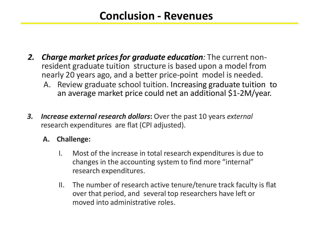### **Conclusion - Revenues**

- *2. Charge market prices for graduate education:* The current nonresident graduate tuition structure is based upon a model from nearly 20 years ago, and a better price-point model is needed.
	- A. Review graduate school tuition. Increasing graduate tuition to an average market price could net an additional \$1-2M/year.
- *3. Increase external research dollars***:** Over the past 10 years *external*  research expenditures are flat (CPI adjusted).
	- **A. Challenge:**
		- I. Most of the increase in total research expenditures is due to changes in the accounting system to find more "internal" research expenditures.
		- II. The number of research active tenure/tenure track faculty is flat over that period, and several top researchers have left or moved into administrative roles.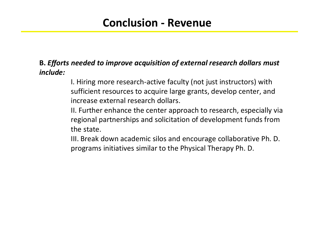#### **Conclusion - Revenue**

#### **B.** *Efforts needed to improve acquisition of external research dollars must include:*

I. Hiring more research-active faculty (not just instructors) with sufficient resources to acquire large grants, develop center, and increase external research dollars.

II. Further enhance the center approach to research, especially via regional partnerships and solicitation of development funds from the state.

III. Break down academic silos and encourage collaborative Ph. D. programs initiatives similar to the Physical Therapy Ph. D.